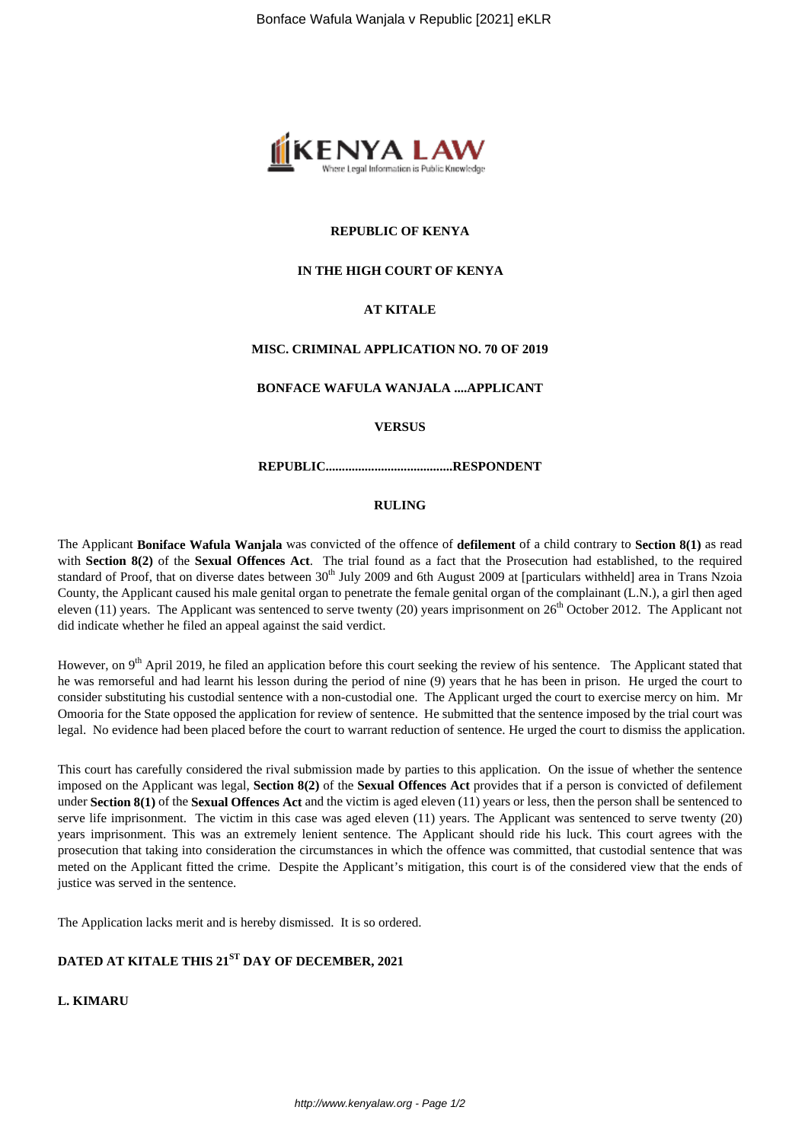

## **REPUBLIC OF KENYA**

## **IN THE HIGH COURT OF KENYA**

## **AT KITALE**

# **MISC. CRIMINAL APPLICATION NO. 70 OF 2019**

**BONFACE WAFULA WANJALA ....APPLICANT**

#### **VERSUS**

**REPUBLIC.......................................RESPONDENT**

#### **RULING**

The Applicant **Boniface Wafula Wanjala** was convicted of the offence of **defilement** of a child contrary to **Section 8(1)** as read with **Section 8(2)** of the **Sexual Offences Act**. The trial found as a fact that the Prosecution had established, to the required standard of Proof, that on diverse dates between 30<sup>th</sup> July 2009 and 6th August 2009 at [particulars withheld] area in Trans Nzoia County, the Applicant caused his male genital organ to penetrate the female genital organ of the complainant (L.N.), a girl then aged eleven (11) years. The Applicant was sentenced to serve twenty (20) years imprisonment on  $26<sup>th</sup>$  October 2012. The Applicant not did indicate whether he filed an appeal against the said verdict.

However, on 9<sup>th</sup> April 2019, he filed an application before this court seeking the review of his sentence. The Applicant stated that he was remorseful and had learnt his lesson during the period of nine (9) years that he has been in prison. He urged the court to consider substituting his custodial sentence with a non-custodial one. The Applicant urged the court to exercise mercy on him. Mr Omooria for the State opposed the application for review of sentence. He submitted that the sentence imposed by the trial court was legal. No evidence had been placed before the court to warrant reduction of sentence. He urged the court to dismiss the application.

This court has carefully considered the rival submission made by parties to this application. On the issue of whether the sentence imposed on the Applicant was legal, **Section 8(2)** of the **Sexual Offences Act** provides that if a person is convicted of defilement under **Section 8(1)** of the **Sexual Offences Act** and the victim is aged eleven (11) years or less, then the person shall be sentenced to serve life imprisonment. The victim in this case was aged eleven (11) years. The Applicant was sentenced to serve twenty (20) years imprisonment. This was an extremely lenient sentence. The Applicant should ride his luck. This court agrees with the prosecution that taking into consideration the circumstances in which the offence was committed, that custodial sentence that was meted on the Applicant fitted the crime. Despite the Applicant's mitigation, this court is of the considered view that the ends of justice was served in the sentence.

The Application lacks merit and is hereby dismissed. It is so ordered.

# **DATED AT KITALE THIS 21ST DAY OF DECEMBER, 2021**

# **L. KIMARU**